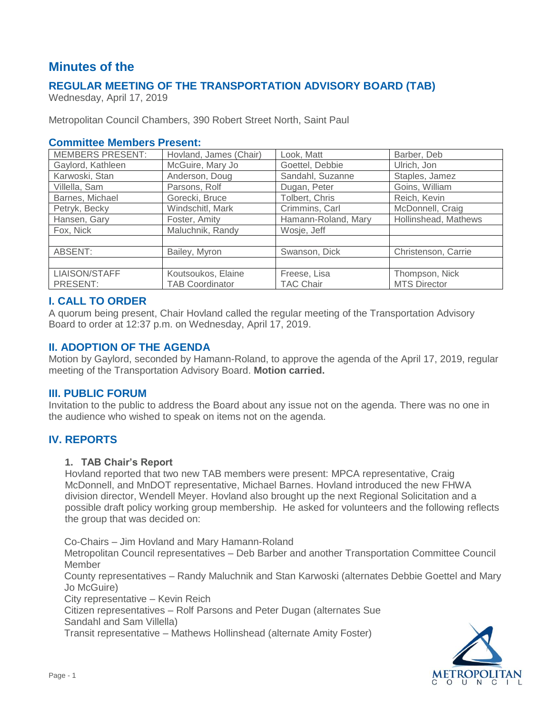# **Minutes of the**

# **REGULAR MEETING OF THE TRANSPORTATION ADVISORY BOARD (TAB)**

Wednesday, April 17, 2019

Metropolitan Council Chambers, 390 Robert Street North, Saint Paul

## **Committee Members Present:**

| <b>MEMBERS PRESENT:</b> | Hovland, James (Chair) | Look, Matt          | Barber, Deb          |
|-------------------------|------------------------|---------------------|----------------------|
| Gaylord, Kathleen       | McGuire, Mary Jo       | Goettel, Debbie     | Ulrich, Jon          |
| Karwoski, Stan          | Anderson, Doug         | Sandahl, Suzanne    | Staples, Jamez       |
| Villella, Sam           | Parsons, Rolf          | Dugan, Peter        | Goins, William       |
| Barnes, Michael         | Gorecki, Bruce         | Tolbert, Chris      | Reich, Kevin         |
| Petryk, Becky           | Windschitl, Mark       | Crimmins, Carl      | McDonnell, Craig     |
| Hansen, Gary            | Foster, Amity          | Hamann-Roland, Mary | Hollinshead, Mathews |
| Fox, Nick               | Maluchnik, Randy       | Wosje, Jeff         |                      |
|                         |                        |                     |                      |
| ABSENT:                 | Bailey, Myron          | Swanson, Dick       | Christenson, Carrie  |
|                         |                        |                     |                      |
| LIAISON/STAFF           | Koutsoukos, Elaine     | Freese, Lisa        | Thompson, Nick       |
| PRESENT:                | <b>TAB Coordinator</b> | <b>TAC Chair</b>    | <b>MTS Director</b>  |

## **I. CALL TO ORDER**

A quorum being present, Chair Hovland called the regular meeting of the Transportation Advisory Board to order at 12:37 p.m. on Wednesday, April 17, 2019.

## **II. ADOPTION OF THE AGENDA**

Motion by Gaylord, seconded by Hamann-Roland, to approve the agenda of the April 17, 2019, regular meeting of the Transportation Advisory Board. **Motion carried.**

### **III. PUBLIC FORUM**

Invitation to the public to address the Board about any issue not on the agenda. There was no one in the audience who wished to speak on items not on the agenda.

# **IV. REPORTS**

#### **1. TAB Chair's Report**

Hovland reported that two new TAB members were present: MPCA representative, Craig McDonnell, and MnDOT representative, Michael Barnes. Hovland introduced the new FHWA division director, Wendell Meyer. Hovland also brought up the next Regional Solicitation and a possible draft policy working group membership. He asked for volunteers and the following reflects the group that was decided on:

Co-Chairs – Jim Hovland and Mary Hamann-Roland

Metropolitan Council representatives – Deb Barber and another Transportation Committee Council Member

County representatives – Randy Maluchnik and Stan Karwoski (alternates Debbie Goettel and Mary Jo McGuire)

City representative – Kevin Reich

Citizen representatives – Rolf Parsons and Peter Dugan (alternates Sue Sandahl and Sam Villella)

Transit representative – Mathews Hollinshead (alternate Amity Foster)

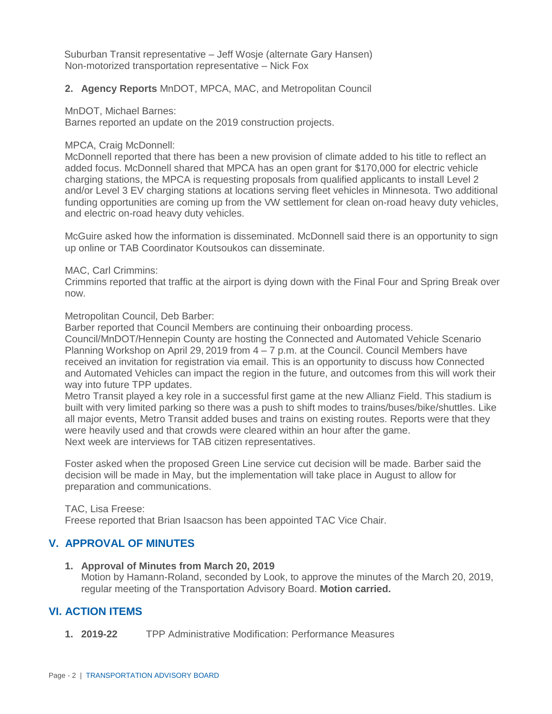Suburban Transit representative – Jeff Wosje (alternate Gary Hansen) Non-motorized transportation representative – Nick Fox

#### **2. Agency Reports** MnDOT, MPCA, MAC, and Metropolitan Council

#### MnDOT, Michael Barnes:

Barnes reported an update on the 2019 construction projects.

#### MPCA, Craig McDonnell:

McDonnell reported that there has been a new provision of climate added to his title to reflect an added focus. McDonnell shared that MPCA has an open grant for \$170,000 for electric vehicle charging stations, the MPCA is requesting proposals from qualified applicants to install Level 2 and/or Level 3 EV charging stations at locations serving fleet vehicles in Minnesota. Two additional funding opportunities are coming up from the VW settlement for clean on-road heavy duty vehicles, and electric on-road heavy duty vehicles.

McGuire asked how the information is disseminated. McDonnell said there is an opportunity to sign up online or TAB Coordinator Koutsoukos can disseminate.

#### MAC, Carl Crimmins:

Crimmins reported that traffic at the airport is dying down with the Final Four and Spring Break over now.

Metropolitan Council, Deb Barber:

Barber reported that Council Members are continuing their onboarding process.

Council/MnDOT/Hennepin County are hosting the Connected and Automated Vehicle Scenario Planning Workshop on April 29, 2019 from  $4 - 7$  p.m. at the Council. Council Members have received an invitation for registration via email. This is an opportunity to discuss how Connected and Automated Vehicles can impact the region in the future, and outcomes from this will work their way into future TPP updates.

Metro Transit played a key role in a successful first game at the new Allianz Field. This stadium is built with very limited parking so there was a push to shift modes to trains/buses/bike/shuttles. Like all major events, Metro Transit added buses and trains on existing routes. Reports were that they were heavily used and that crowds were cleared within an hour after the game. Next week are interviews for TAB citizen representatives.

Foster asked when the proposed Green Line service cut decision will be made. Barber said the decision will be made in May, but the implementation will take place in August to allow for preparation and communications.

#### TAC, Lisa Freese:

Freese reported that Brian Isaacson has been appointed TAC Vice Chair.

### **V. APPROVAL OF MINUTES**

- **1. Approval of Minutes from March 20, 2019**
	- Motion by Hamann-Roland, seconded by Look, to approve the minutes of the March 20, 2019, regular meeting of the Transportation Advisory Board. **Motion carried.**

# **VI. ACTION ITEMS**

**1. 2019-22** TPP Administrative Modification: Performance Measures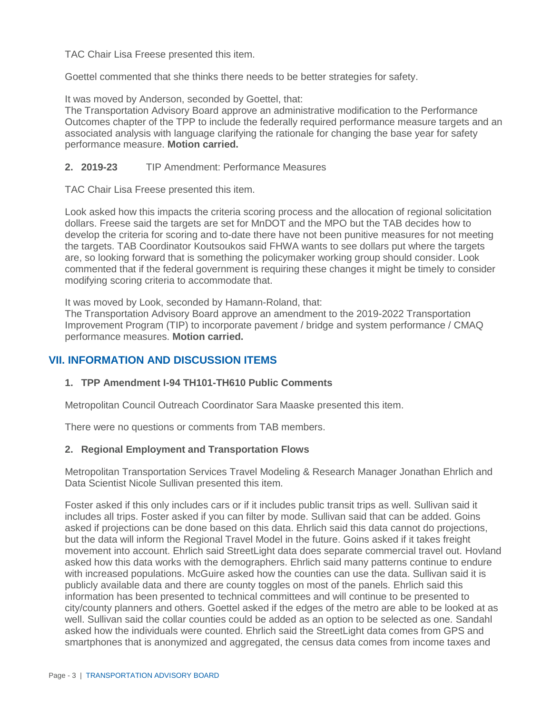TAC Chair Lisa Freese presented this item.

Goettel commented that she thinks there needs to be better strategies for safety.

It was moved by Anderson, seconded by Goettel, that:

The Transportation Advisory Board approve an administrative modification to the Performance Outcomes chapter of the TPP to include the federally required performance measure targets and an associated analysis with language clarifying the rationale for changing the base year for safety performance measure. **Motion carried.**

## **2. 2019-23** TIP Amendment: Performance Measures

TAC Chair Lisa Freese presented this item.

Look asked how this impacts the criteria scoring process and the allocation of regional solicitation dollars. Freese said the targets are set for MnDOT and the MPO but the TAB decides how to develop the criteria for scoring and to-date there have not been punitive measures for not meeting the targets. TAB Coordinator Koutsoukos said FHWA wants to see dollars put where the targets are, so looking forward that is something the policymaker working group should consider. Look commented that if the federal government is requiring these changes it might be timely to consider modifying scoring criteria to accommodate that.

It was moved by Look, seconded by Hamann-Roland, that:

The Transportation Advisory Board approve an amendment to the 2019-2022 Transportation Improvement Program (TIP) to incorporate pavement / bridge and system performance / CMAQ performance measures. **Motion carried.**

# **VII. INFORMATION AND DISCUSSION ITEMS**

### **1. TPP Amendment I-94 TH101-TH610 Public Comments**

Metropolitan Council Outreach Coordinator Sara Maaske presented this item.

There were no questions or comments from TAB members.

### **2. Regional Employment and Transportation Flows**

Metropolitan Transportation Services Travel Modeling & Research Manager Jonathan Ehrlich and Data Scientist Nicole Sullivan presented this item.

Foster asked if this only includes cars or if it includes public transit trips as well. Sullivan said it includes all trips. Foster asked if you can filter by mode. Sullivan said that can be added. Goins asked if projections can be done based on this data. Ehrlich said this data cannot do projections, but the data will inform the Regional Travel Model in the future. Goins asked if it takes freight movement into account. Ehrlich said StreetLight data does separate commercial travel out. Hovland asked how this data works with the demographers. Ehrlich said many patterns continue to endure with increased populations. McGuire asked how the counties can use the data. Sullivan said it is publicly available data and there are county toggles on most of the panels. Ehrlich said this information has been presented to technical committees and will continue to be presented to city/county planners and others. Goettel asked if the edges of the metro are able to be looked at as well. Sullivan said the collar counties could be added as an option to be selected as one. Sandahl asked how the individuals were counted. Ehrlich said the StreetLight data comes from GPS and smartphones that is anonymized and aggregated, the census data comes from income taxes and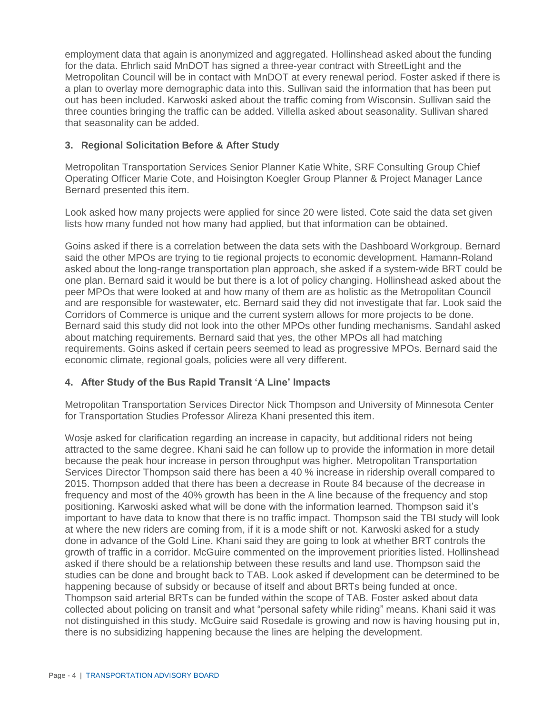employment data that again is anonymized and aggregated. Hollinshead asked about the funding for the data. Ehrlich said MnDOT has signed a three-year contract with StreetLight and the Metropolitan Council will be in contact with MnDOT at every renewal period. Foster asked if there is a plan to overlay more demographic data into this. Sullivan said the information that has been put out has been included. Karwoski asked about the traffic coming from Wisconsin. Sullivan said the three counties bringing the traffic can be added. Villella asked about seasonality. Sullivan shared that seasonality can be added.

### **3. Regional Solicitation Before & After Study**

Metropolitan Transportation Services Senior Planner Katie White, SRF Consulting Group Chief Operating Officer Marie Cote, and Hoisington Koegler Group Planner & Project Manager Lance Bernard presented this item.

Look asked how many projects were applied for since 20 were listed. Cote said the data set given lists how many funded not how many had applied, but that information can be obtained.

Goins asked if there is a correlation between the data sets with the Dashboard Workgroup. Bernard said the other MPOs are trying to tie regional projects to economic development. Hamann-Roland asked about the long-range transportation plan approach, she asked if a system-wide BRT could be one plan. Bernard said it would be but there is a lot of policy changing. Hollinshead asked about the peer MPOs that were looked at and how many of them are as holistic as the Metropolitan Council and are responsible for wastewater, etc. Bernard said they did not investigate that far. Look said the Corridors of Commerce is unique and the current system allows for more projects to be done. Bernard said this study did not look into the other MPOs other funding mechanisms. Sandahl asked about matching requirements. Bernard said that yes, the other MPOs all had matching requirements. Goins asked if certain peers seemed to lead as progressive MPOs. Bernard said the economic climate, regional goals, policies were all very different.

# **4. After Study of the Bus Rapid Transit 'A Line' Impacts**

Metropolitan Transportation Services Director Nick Thompson and University of Minnesota Center for Transportation Studies Professor Alireza Khani presented this item.

Wosje asked for clarification regarding an increase in capacity, but additional riders not being attracted to the same degree. Khani said he can follow up to provide the information in more detail because the peak hour increase in person throughput was higher. Metropolitan Transportation Services Director Thompson said there has been a 40 % increase in ridership overall compared to 2015. Thompson added that there has been a decrease in Route 84 because of the decrease in frequency and most of the 40% growth has been in the A line because of the frequency and stop positioning. Karwoski asked what will be done with the information learned. Thompson said it's important to have data to know that there is no traffic impact. Thompson said the TBI study will look at where the new riders are coming from, if it is a mode shift or not. Karwoski asked for a study done in advance of the Gold Line. Khani said they are going to look at whether BRT controls the growth of traffic in a corridor. McGuire commented on the improvement priorities listed. Hollinshead asked if there should be a relationship between these results and land use. Thompson said the studies can be done and brought back to TAB. Look asked if development can be determined to be happening because of subsidy or because of itself and about BRTs being funded at once. Thompson said arterial BRTs can be funded within the scope of TAB. Foster asked about data collected about policing on transit and what "personal safety while riding" means. Khani said it was not distinguished in this study. McGuire said Rosedale is growing and now is having housing put in, there is no subsidizing happening because the lines are helping the development.